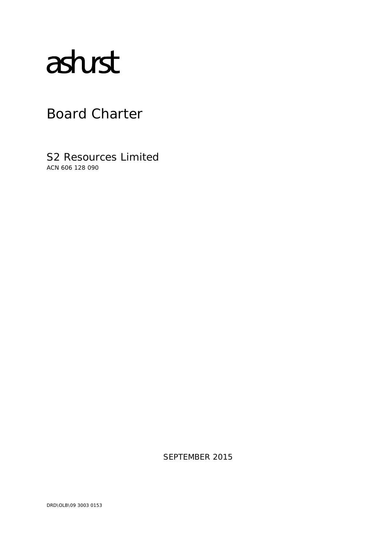# astust

# Board Charter

S2 Resources Limited ACN 606 128 090

SEPTEMBER 2015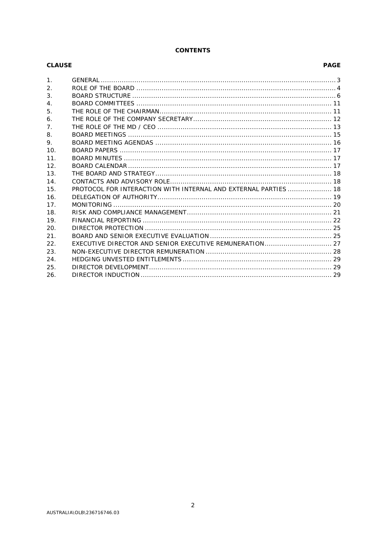# **CONTENTS**

| <b>CLAUSE</b>    |                                                                 |
|------------------|-----------------------------------------------------------------|
| $\mathbf{1}$ .   |                                                                 |
| 2.               |                                                                 |
| 3.               |                                                                 |
| $\overline{4}$ . |                                                                 |
| 5.               |                                                                 |
| 6.               |                                                                 |
| 7 <sub>1</sub>   |                                                                 |
| 8.               |                                                                 |
| 9.               |                                                                 |
| 10.              |                                                                 |
| 11.              |                                                                 |
| 12.              |                                                                 |
| 13.              |                                                                 |
| 14.              |                                                                 |
| 15.              | PROTOCOL FOR INTERACTION WITH INTERNAL AND EXTERNAL PARTIES  18 |
| 16.              |                                                                 |
| 17 <sub>1</sub>  |                                                                 |
| 18.              |                                                                 |
| 19.              |                                                                 |
| 20.              |                                                                 |
| 21.              |                                                                 |
| 22.              |                                                                 |
| 23.              |                                                                 |
| 24.              |                                                                 |
| 25.              |                                                                 |
| 26.              |                                                                 |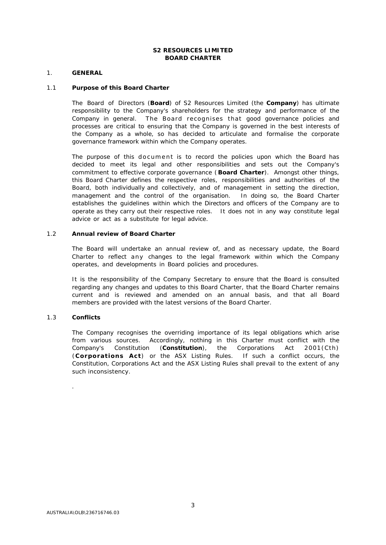#### **S2 RESOURCES LIMITED BOARD CHARTER**

#### <span id="page-2-0"></span>1. **GENERAL**

#### 1.1 **Purpose of this Board Charter**

The Board of Directors (**Board**) of S2 Resources Limited (the **Company**) has ultimate responsibility to the Company's shareholders for the strategy and performance of the Company in general. The Board recognises that good governance policies and processes are critical to ensuring that the Company is governed in the best interests of the Company as a whole, so has decided to articulate and formalise the corporate governance framework within which the Company operates.

The purpose of this document is to record the policies upon which the Board has decided to meet its legal and other responsibilities and sets out the Company's commitment to effective corporate governance (**Board Charter**). Amongst other things, this Board Charter defines the respective roles, responsibilities and authorities of the Board, both individually and collectively, and of management in setting the direction, management and the control of the organisation. In doing so, the Board Charter establishes the guidelines within which the Directors and officers of the Company are to operate as they carry out their respective roles. It does not in any way constitute legal advice or act as a substitute for legal advice.

#### 1.2 **Annual review of Board Charter**

The Board will undertake an annual review of, and as necessary update, the Board Charter to reflect any changes to the legal framework within which the Company operates, and developments in Board policies and procedures.

It is the responsibility of the Company Secretary to ensure that the Board is consulted regarding any changes and updates to this Board Charter, that the Board Charter remains current and is reviewed and amended on an annual basis, and that all Board members are provided with the latest versions of the Board Charter.

#### 1.3 **Conflicts**

.

The Company recognises the overriding importance of its legal obligations which arise from various sources. Accordingly, nothing in this Charter must conflict with the Company's Constitution (**Constitution**), the *Corporations Act 2001*(Cth) (**Corporations Act**) or the ASX Listing Rules. If such a conflict occurs, the Constitution, Corporations Act and the ASX Listing Rules shall prevail to the extent of any such inconsistency.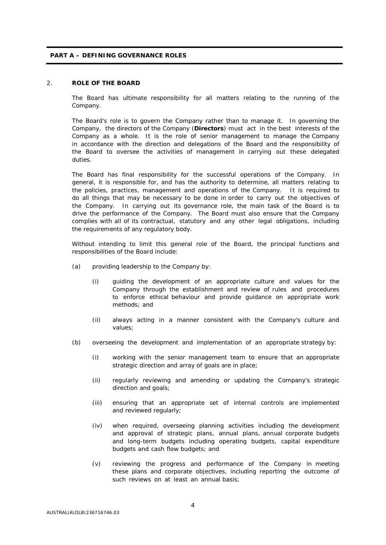#### **PART A – DEFINING GOVERNANCE ROLES**

#### <span id="page-3-0"></span>2. **ROLE OF THE BOARD**

The Board has ultimate responsibility for all matters relating to the running of the Company.

The Board's role is to govern the Company rather than to manage it. In governing the Company, the directors of the Company (**Directors**) must act in the best interests of the Company as a whole. It is the role of senior management to manage the Company in accordance with the direction and delegations of the Board and the responsibility of the Board to oversee the activities of management in carrying out these delegated duties.

The Board has final responsibility for the successful operations of the Company. In general, it is responsible for, and has the authority to determine, all matters relating to the policies, practices, management and operations of the Company. It is required to do all things that may be necessary to be done in order to carry out the objectives of the Company. In carrying out its governance role, the main task of the Board is to drive the performance of the Company. The Board must also ensure that the Company complies with all of its contractual, statutory and any other legal obligations, including the requirements of any regulatory body.

Without intending to limit this general role of the Board, the principal functions and responsibilities of the Board include:

- (a) providing leadership to the Company by:
	- (i) guiding the development of an appropriate culture and values for the Company through the establishment and review of rules and procedures to enforce ethical behaviour and provide guidance on appropriate work methods; and
	- (ii) always acting in a manner consistent with the Company's culture and values;
- (b) overseeing the development and implementation of an appropriate strategy by:
	- (i) working with the senior management team to ensure that an appropriate strategic direction and array of goals are in place;
	- (ii) regularly reviewing and amending or updating the Company's strategic direction and goals;
	- (iii) ensuring that an appropriate set of internal controls are implemented and reviewed regularly;
	- (iv) when required, overseeing planning activities including the development and approval of strategic plans, annual plans, annual corporate budgets and long-term budgets including operating budgets, capital expenditure budgets and cash flow budgets; and
	- (v) reviewing the progress and performance of the Company in meeting these plans and corporate objectives, including reporting the outcome of such reviews on at least an annual basis;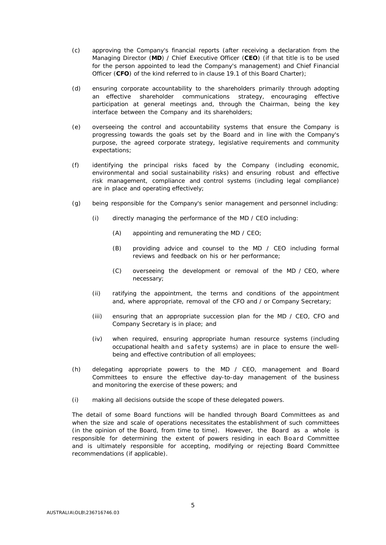- (c) approving the Company's financial reports (after receiving a declaration from the Managing Director (**MD**) / Chief Executive Officer (**CEO**) (if that title is to be used for the person appointed to lead the Company's management) and Chief Financial Officer (**CFO**) of the kind referred to in clause [19.1](#page-21-1) of this Board Charter);
- (d) ensuring corporate accountability to the shareholders primarily through adopting an effective shareholder communications strategy, encouraging effective participation at general meetings and, through the Chairman, being the key interface between the Company and its shareholders;
- (e) overseeing the control and accountability systems that ensure the Company is progressing towards the goals set by the Board and in line with the Company's purpose, the agreed corporate strategy, legislative requirements and community expectations;
- (f) identifying the principal risks faced by the Company (including economic, environmental and social sustainability risks) and ensuring robust and effective risk management, compliance and control systems (including legal compliance) are in place and operating effectively;
- (g) being responsible for the Company's senior management and personnel including:
	- (i) directly managing the performance of the MD / CEO including:
		- (A) appointing and remunerating the MD / CEO;
		- (B) providing advice and counsel to the MD / CEO including formal reviews and feedback on his or her performance;
		- (C) overseeing the development or removal of the MD / CEO, where necessary;
	- (ii) ratifying the appointment, the terms and conditions of the appointment and, where appropriate, removal of the CFO and / or Company Secretary;
	- (iii) ensuring that an appropriate succession plan for the MD / CEO, CFO and Company Secretary is in place; and
	- (iv) when required, ensuring appropriate human resource systems (including occupational health and safety systems) are in place to ensure the wellbeing and effective contribution of all employees;
- (h) delegating appropriate powers to the MD / CEO, management and Board Committees to ensure the effective day-to-day management of the business and monitoring the exercise of these powers; and
- (i) making all decisions outside the scope of these delegated powers.

The detail of some Board functions will be handled through Board Committees as and when the size and scale of operations necessitates the establishment of such committees (in the opinion of the Board, from time to time). However, the Board as a whole is responsible for determining the extent of powers residing in each Board Committee and is ultimately responsible for accepting, modifying or rejecting Board Committee recommendations (if applicable).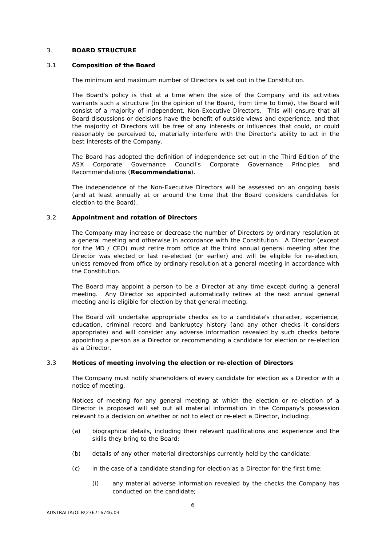#### <span id="page-5-0"></span>3. **BOARD STRUCTURE**

#### 3.1 **Composition of the Board**

The minimum and maximum number of Directors is set out in the Constitution.

The Board's policy is that at a time when the size of the Company and its activities warrants such a structure (in the opinion of the Board, from time to time), the Board will consist of a majority of independent, Non-Executive Directors. This will ensure that all Board discussions or decisions have the benefit of outside views and experience, and that the majority of Directors will be free of any interests or influences that could, or could reasonably be perceived to, materially interfere with the Director's ability to act in the best interests of the Company.

The Board has adopted the definition of independence set out in the Third Edition of the ASX Corporate Governance Council's Corporate Governance Principles and Recommendations (**Recommendations**).

The independence of the Non-Executive Directors will be assessed on an ongoing basis (and at least annually at or around the time that the Board considers candidates for election to the Board).

#### 3.2 **Appointment and rotation of Directors**

The Company may increase or decrease the number of Directors by ordinary resolution at a general meeting and otherwise in accordance with the Constitution. A Director (except for the MD / CEO) must retire from office at the third annual general meeting after the Director was elected or last re-elected (or earlier) and will be eligible for re-election, unless removed from office by ordinary resolution at a general meeting in accordance with the Constitution.

The Board may appoint a person to be a Director at any time except during a general meeting. Any Director so appointed automatically retires at the next annual general meeting and is eligible for election by that general meeting.

The Board will undertake appropriate checks as to a candidate's character, experience, education, criminal record and bankruptcy history (and any other checks it considers appropriate) and will consider any adverse information revealed by such checks before appointing a person as a Director or recommending a candidate for election or re-election as a Director.

#### 3.3 **Notices of meeting involving the election or re-election of Directors**

The Company must notify shareholders of every candidate for election as a Director with a notice of meeting.

Notices of meeting for any general meeting at which the election or re-election of a Director is proposed will set out all material information in the Company's possession relevant to a decision on whether or not to elect or re-elect a Director, including:

- (a) biographical details, including their relevant qualifications and experience and the skills they bring to the Board;
- (b) details of any other material directorships currently held by the candidate;
- (c) in the case of a candidate standing for election as a Director for the first time:
	- (i) any material adverse information revealed by the checks the Company has conducted on the candidate;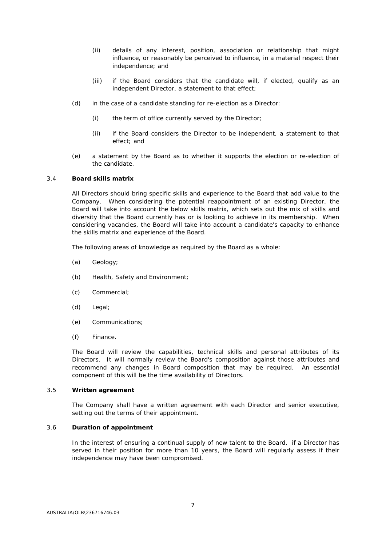- (ii) details of any interest, position, association or relationship that might influence, or reasonably be perceived to influence, in a material respect their independence; and
- (iii) if the Board considers that the candidate will, if elected, qualify as an independent Director, a statement to that effect;
- (d) in the case of a candidate standing for re-election as a Director:
	- (i) the term of office currently served by the Director;
	- (ii) if the Board considers the Director to be independent, a statement to that effect; and
- (e) a statement by the Board as to whether it supports the election or re-election of the candidate.

#### 3.4 **Board skills matrix**

All Directors should bring specific skills and experience to the Board that add value to the Company. When considering the potential reappointment of an existing Director, the Board will take into account the below skills matrix, which sets out the mix of skills and diversity that the Board currently has or is looking to achieve in its membership. When considering vacancies, the Board will take into account a candidate's capacity to enhance the skills matrix and experience of the Board.

The following areas of knowledge as required by the Board as a whole:

- (a) Geology;
- (b) Health, Safety and Environment;
- (c) Commercial;
- (d) Legal;
- (e) Communications;
- (f) Finance.

The Board will review the capabilities, technical skills and personal attributes of its Directors. It will normally review the Board's composition against those attributes and recommend any changes in Board composition that may be required. An essential component of this will be the time availability of Directors.

#### 3.5 **Written agreement**

The Company shall have a written agreement with each Director and senior executive, setting out the terms of their appointment.

#### <span id="page-6-0"></span>3.6 **Duration of appointment**

In the interest of ensuring a continual supply of new talent to the Board, if a Director has served in their position for more than 10 years, the Board will regularly assess if their independence may have been compromised.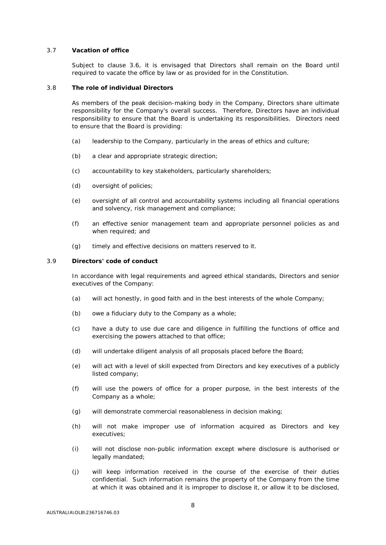#### 3.7 **Vacation of office**

Subject to clause [3.6,](#page-6-0) it is envisaged that Directors shall remain on the Board until required to vacate the office by law or as provided for in the Constitution.

#### 3.8 **The role of individual Directors**

As members of the peak decision-making body in the Company, Directors share ultimate responsibility for the Company's overall success. Therefore, Directors have an individual responsibility to ensure that the Board is undertaking its responsibilities. Directors need to ensure that the Board is providing:

- (a) leadership to the Company, particularly in the areas of ethics and culture;
- (b) a clear and appropriate strategic direction;
- (c) accountability to key stakeholders, particularly shareholders;
- (d) oversight of policies;
- (e) oversight of all control and accountability systems including all financial operations and solvency, risk management and compliance;
- (f) an effective senior management team and appropriate personnel policies as and when required; and
- (g) timely and effective decisions on matters reserved to it.

# <span id="page-7-0"></span>3.9 **Directors' code of conduct**

In accordance with legal requirements and agreed ethical standards, Directors and senior executives of the Company:

- (a) will act honestly, in good faith and in the best interests of the whole Company;
- (b) owe a fiduciary duty to the Company as a whole;
- (c) have a duty to use due care and diligence in fulfilling the functions of office and exercising the powers attached to that office;
- (d) will undertake diligent analysis of all proposals placed before the Board;
- (e) will act with a level of skill expected from Directors and key executives of a publicly listed company;
- (f) will use the powers of office for a proper purpose, in the best interests of the Company as a whole;
- (g) will demonstrate commercial reasonableness in decision making;
- (h) will not make improper use of information acquired as Directors and key executives;
- (i) will not disclose non-public information except where disclosure is authorised or legally mandated;
- (j) will keep information received in the course of the exercise of their duties confidential. Such information remains the property of the Company from the time at which it was obtained and it is improper to disclose it, or allow it to be disclosed,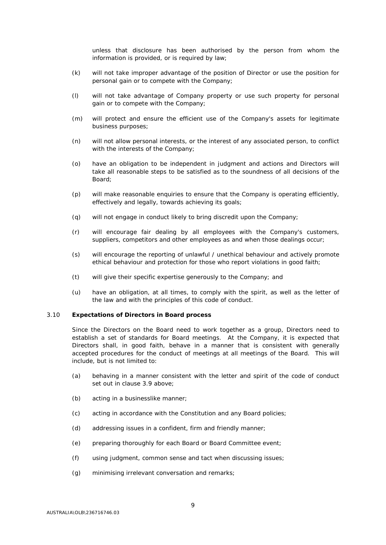unless that disclosure has been authorised by the person from whom the information is provided, or is required by law;

- (k) will not take improper advantage of the position of Director or use the position for personal gain or to compete with the Company;
- (l) will not take advantage of Company property or use such property for personal gain or to compete with the Company;
- (m) will protect and ensure the efficient use of the Company's assets for legitimate business purposes;
- (n) will not allow personal interests, or the interest of any associated person, to conflict with the interests of the Company;
- (o) have an obligation to be independent in judgment and actions and Directors will take all reasonable steps to be satisfied as to the soundness of all decisions of the Board;
- (p) will make reasonable enquiries to ensure that the Company is operating efficiently, effectively and legally, towards achieving its goals;
- (q) will not engage in conduct likely to bring discredit upon the Company;
- (r) will encourage fair dealing by all employees with the Company's customers, suppliers, competitors and other employees as and when those dealings occur;
- (s) will encourage the reporting of unlawful / unethical behaviour and actively promote ethical behaviour and protection for those who report violations in good faith;
- (t) will give their specific expertise generously to the Company; and
- (u) have an obligation, at all times, to comply with the spirit, as well as the letter of the law and with the principles of this code of conduct.

#### 3.10 **Expectations of Directors in Board process**

Since the Directors on the Board need to work together as a group, Directors need to establish a set of standards for Board meetings. At the Company, it is expected that Directors shall, in good faith, behave in a manner that is consistent with generally accepted procedures for the conduct of meetings at all meetings of the Board. This will include, but is not limited to:

- (a) behaving in a manner consistent with the letter and spirit of the code of conduct set out in clause [3.9](#page-7-0) above;
- (b) acting in a businesslike manner;
- (c) acting in accordance with the Constitution and any Board policies;
- (d) addressing issues in a confident, firm and friendly manner;
- (e) preparing thoroughly for each Board or Board Committee event;
- (f) using judgment, common sense and tact when discussing issues;
- (g) minimising irrelevant conversation and remarks;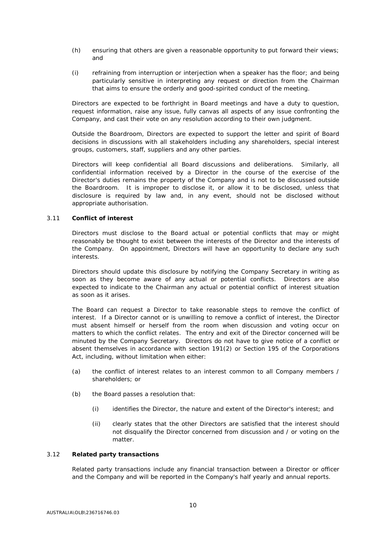- (h) ensuring that others are given a reasonable opportunity to put forward their views; and
- (i) refraining from interruption or interjection when a speaker has the floor; and being particularly sensitive in interpreting any request or direction from the Chairman that aims to ensure the orderly and good-spirited conduct of the meeting.

Directors are expected to be forthright in Board meetings and have a duty to question, request information, raise any issue, fully canvas all aspects of any issue confronting the Company, and cast their vote on any resolution according to their own judgment.

Outside the Boardroom, Directors are expected to support the letter and spirit of Board decisions in discussions with all stakeholders including any shareholders, special interest groups, customers, staff, suppliers and any other parties.

Directors will keep confidential all Board discussions and deliberations. Similarly, all confidential information received by a Director in the course of the exercise of the Director's duties remains the property of the Company and is not to be discussed outside the Boardroom. It is improper to disclose it, or allow it to be disclosed, unless that disclosure is required by law and, in any event, should not be disclosed without appropriate authorisation.

#### 3.11 **Conflict of interest**

Directors must disclose to the Board actual or potential conflicts that may or might reasonably be thought to exist between the interests of the Director and the interests of the Company. On appointment, Directors will have an opportunity to declare any such interests.

Directors should update this disclosure by notifying the Company Secretary in writing as soon as they become aware of any actual or potential conflicts. Directors are also expected to indicate to the Chairman any actual or potential conflict of interest situation as soon as it arises.

The Board can request a Director to take reasonable steps to remove the conflict of interest. If a Director cannot or is unwilling to remove a conflict of interest, the Director must absent himself or herself from the room when discussion and voting occur on matters to which the conflict relates. The entry and exit of the Director concerned will be minuted by the Company Secretary. Directors do not have to give notice of a conflict or absent themselves in accordance with section 191(2) or Section 195 of the Corporations Act, including, without limitation when either:

- (a) the conflict of interest relates to an interest common to all Company members / shareholders; or
- (b) the Board passes a resolution that:
	- (i) identifies the Director, the nature and extent of the Director's interest; and
	- (ii) clearly states that the other Directors are satisfied that the interest should not disqualify the Director concerned from discussion and / or voting on the matter.

#### 3.12 **Related party transactions**

Related party transactions include any financial transaction between a Director or officer and the Company and will be reported in the Company's half yearly and annual reports.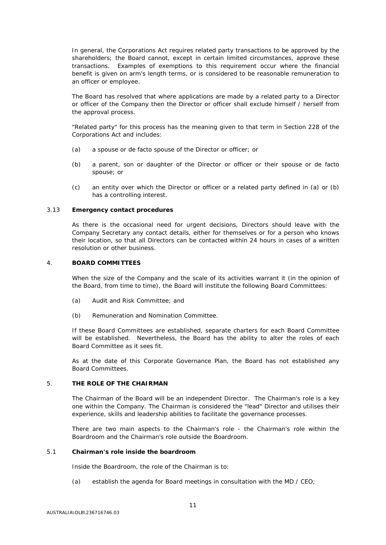In general, the Corporations Act requires related party transactions to be approved by the shareholders; the Board cannot, except in certain limited circumstances, approve these transactions. Examples of exemptions to this requirement occur where the financial benefit is given on arm's length terms, or is considered to be reasonable remuneration to an officer or employee.

The Board has resolved that where applications are made by a related party to a Director or officer of the Company then the Director or officer shall exclude himself / herself from the approval process.

"Related party" for this process has the meaning given to that term in Section 228 of the Corporations Act and includes:

- (a) a spouse or de facto spouse of the Director or officer; or
- (b) a parent, son or daughter of the Director or officer or their spouse or de facto spouse; or
- (c) an entity over which the Director or officer or a related party defined in (a) or (b) has a controlling interest.

#### 3.13 **Emergency contact procedures**

As there is the occasional need for urgent decisions, Directors should leave with the Company Secretary any contact details, either for themselves or for a person who knows their location, so that all Directors can be contacted within 24 hours in cases of a written resolution or other business.

#### <span id="page-10-0"></span>4. **BOARD COMMITTEES**

When the size of the Company and the scale of its activities warrant it (in the opinion of the Board, from time to time), the Board will institute the following Board Committees:

- (a) Audit and Risk Committee; and
- (b) Remuneration and Nomination Committee.

If these Board Committees are established, separate charters for each Board Committee will be established. Nevertheless, the Board has the ability to alter the roles of each Board Committee as it sees fit.

As at the date of this Corporate Governance Plan, the Board has not established any Board Committees.

#### <span id="page-10-1"></span>5. **THE ROLE OF THE CHAIRMAN**

The Chairman of the Board will be an independent Director. The Chairman's role is a key one within the Company. The Chairman is considered the "lead" Director and utilises their experience, skills and leadership abilities to facilitate the governance processes.

There are two main aspects to the Chairman's role - the Chairman's role within the Boardroom and the Chairman's role outside the Boardroom.

#### 5.1 **Chairman's role inside the boardroom**

Inside the Boardroom, the role of the Chairman is to:

(a) establish the agenda for Board meetings in consultation with the MD / CEO;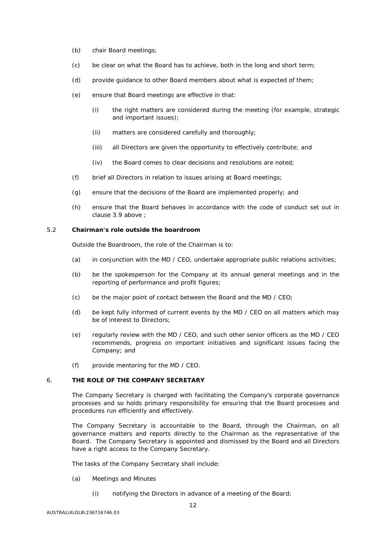- (b) chair Board meetings;
- (c) be clear on what the Board has to achieve, both in the long and short term;
- (d) provide guidance to other Board members about what is expected of them;
- (e) ensure that Board meetings are effective in that:
	- (i) the right matters are considered during the meeting (for example, strategic and important issues);
	- (ii) matters are considered carefully and thoroughly;
	- (iii) all Directors are given the opportunity to effectively contribute; and
	- (iv) the Board comes to clear decisions and resolutions are noted;
- (f) brief all Directors in relation to issues arising at Board meetings;
- (g) ensure that the decisions of the Board are implemented properly; and
- (h) ensure that the Board behaves in accordance with the code of conduct set out in clause [3.9](#page-7-0) above ;

#### 5.2 **Chairman's role outside the boardroom**

Outside the Boardroom, the role of the Chairman is to:

- (a) in conjunction with the MD / CEO, undertake appropriate public relations activities;
- (b) be the spokesperson for the Company at its annual general meetings and in the reporting of performance and profit figures;
- (c) be the major point of contact between the Board and the MD / CEO;
- (d) be kept fully informed of current events by the MD / CEO on all matters which may be of interest to Directors;
- (e) regularly review with the MD / CEO, and such other senior officers as the MD / CEO recommends, progress on important initiatives and significant issues facing the Company; and
- (f) provide mentoring for the MD / CEO.

# <span id="page-11-0"></span>6. **THE ROLE OF THE COMPANY SECRETARY**

The Company Secretary is charged with facilitating the Company's corporate governance processes and so holds primary responsibility for ensuring that the Board processes and procedures run efficiently and effectively.

The Company Secretary is accountable to the Board, through the Chairman, on all governance matters and reports directly to the Chairman as the representative of the Board. The Company Secretary is appointed and dismissed by the Board and all Directors have a right access to the Company Secretary.

The tasks of the Company Secretary shall include:

- (a) Meetings and Minutes
	- (i) notifying the Directors in advance of a meeting of the Board;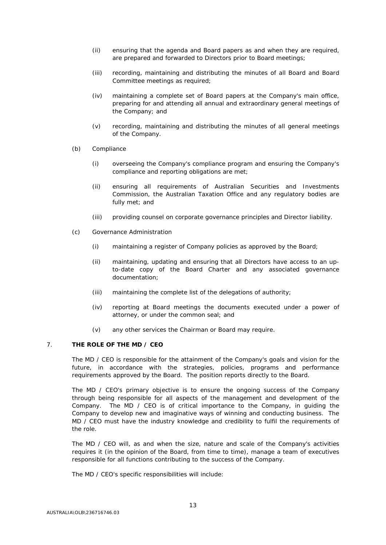- (ii) ensuring that the agenda and Board papers as and when they are required, are prepared and forwarded to Directors prior to Board meetings;
- (iii) recording, maintaining and distributing the minutes of all Board and Board Committee meetings as required;
- (iv) maintaining a complete set of Board papers at the Company's main office, preparing for and attending all annual and extraordinary general meetings of the Company; and
- (v) recording, maintaining and distributing the minutes of all general meetings of the Company.
- (b) Compliance
	- (i) overseeing the Company's compliance program and ensuring the Company's compliance and reporting obligations are met;
	- (ii) ensuring all requirements of Australian Securities and Investments Commission, the Australian Taxation Office and any regulatory bodies are fully met; and
	- (iii) providing counsel on corporate governance principles and Director liability.
- (c) Governance Administration
	- (i) maintaining a register of Company policies as approved by the Board;
	- (ii) maintaining, updating and ensuring that all Directors have access to an upto-date copy of the Board Charter and any associated governance documentation;
	- (iii) maintaining the complete list of the delegations of authority;
	- (iv) reporting at Board meetings the documents executed under a power of attorney, or under the common seal; and
	- (v) any other services the Chairman or Board may require.

# <span id="page-12-0"></span>7. **THE ROLE OF THE MD / CEO**

The MD / CEO is responsible for the attainment of the Company's goals and vision for the future, in accordance with the strategies, policies, programs and performance requirements approved by the Board. The position reports directly to the Board.

The MD / CEO's primary objective is to ensure the ongoing success of the Company through being responsible for all aspects of the management and development of the Company. The MD / CEO is of critical importance to the Company, in guiding the Company to develop new and imaginative ways of winning and conducting business. The MD / CEO must have the industry knowledge and credibility to fulfil the requirements of the role.

The MD / CEO will, as and when the size, nature and scale of the Company's activities requires it (in the opinion of the Board, from time to time), manage a team of executives responsible for all functions contributing to the success of the Company.

The MD / CEO's specific responsibilities will include: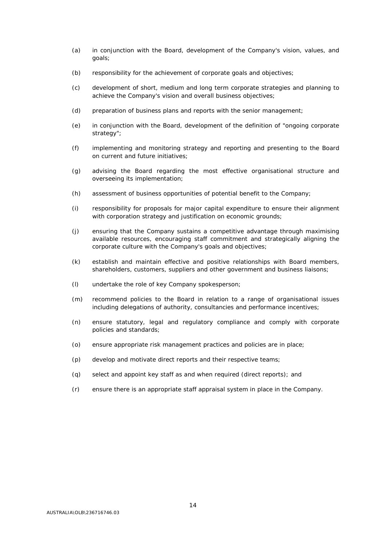- (a) in conjunction with the Board, development of the Company's vision, values, and goals;
- (b) responsibility for the achievement of corporate goals and objectives;
- (c) development of short, medium and long term corporate strategies and planning to achieve the Company's vision and overall business objectives;
- (d) preparation of business plans and reports with the senior management;
- (e) in conjunction with the Board, development of the definition of "ongoing corporate strategy";
- (f) implementing and monitoring strategy and reporting and presenting to the Board on current and future initiatives;
- (g) advising the Board regarding the most effective organisational structure and overseeing its implementation;
- (h) assessment of business opportunities of potential benefit to the Company;
- (i) responsibility for proposals for major capital expenditure to ensure their alignment with corporation strategy and justification on economic grounds;
- (j) ensuring that the Company sustains a competitive advantage through maximising available resources, encouraging staff commitment and strategically aligning the corporate culture with the Company's goals and objectives;
- (k) establish and maintain effective and positive relationships with Board members, shareholders, customers, suppliers and other government and business liaisons;
- (l) undertake the role of key Company spokesperson;
- (m) recommend policies to the Board in relation to a range of organisational issues including delegations of authority, consultancies and performance incentives;
- (n) ensure statutory, legal and regulatory compliance and comply with corporate policies and standards;
- (o) ensure appropriate risk management practices and policies are in place;
- (p) develop and motivate direct reports and their respective teams;
- (q) select and appoint key staff as and when required (direct reports); and
- (r) ensure there is an appropriate staff appraisal system in place in the Company.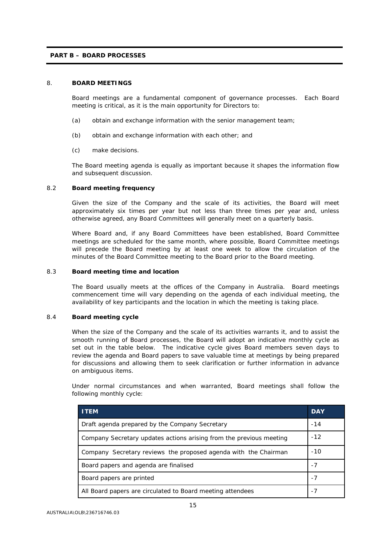# **PART B – BOARD PROCESSES**

# <span id="page-14-0"></span>8. **BOARD MEETINGS**

Board meetings are a fundamental component of governance processes. Each Board meeting is critical, as it is the main opportunity for Directors to:

- (a) obtain and exchange information with the senior management team;
- (b) obtain and exchange information with each other; and
- (c) make decisions.

The Board meeting agenda is equally as important because it shapes the information flow and subsequent discussion.

# 8.2 **Board meeting frequency**

Given the size of the Company and the scale of its activities, the Board will meet approximately six times per year but not less than three times per year and, unless otherwise agreed, any Board Committees will generally meet on a quarterly basis.

Where Board and, if any Board Committees have been established, Board Committee meetings are scheduled for the same month, where possible, Board Committee meetings will precede the Board meeting by at least one week to allow the circulation of the minutes of the Board Committee meeting to the Board prior to the Board meeting.

#### 8.3 **Board meeting time and location**

The Board usually meets at the offices of the Company in Australia. Board meetings commencement time will vary depending on the agenda of each individual meeting, the availability of key participants and the location in which the meeting is taking place.

#### 8.4 **Board meeting cycle**

When the size of the Company and the scale of its activities warrants it, and to assist the smooth running of Board processes, the Board will adopt an indicative monthly cycle as set out in the table below. The indicative cycle gives Board members seven days to review the agenda and Board papers to save valuable time at meetings by being prepared for discussions and allowing them to seek clarification or further information in advance on ambiguous items.

Under normal circumstances and when warranted, Board meetings shall follow the following monthly cycle:

| <b>ITEM</b>                                                         | <b>DAY</b> |
|---------------------------------------------------------------------|------------|
| Draft agenda prepared by the Company Secretary                      |            |
| Company Secretary updates actions arising from the previous meeting |            |
| Company Secretary reviews the proposed agenda with the Chairman     |            |
| Board papers and agenda are finalised                               |            |
| Board papers are printed                                            |            |
| All Board papers are circulated to Board meeting attendees          |            |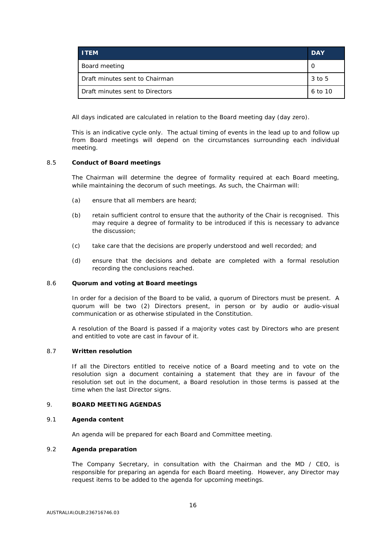| <b>ITEM</b>                     | <b>DAY</b> |
|---------------------------------|------------|
| Board meeting                   |            |
| Draft minutes sent to Chairman  | 3 to 5     |
| Draft minutes sent to Directors | 6 to 10    |

All days indicated are calculated in relation to the Board meeting day (day zero).

This is an indicative cycle only. The actual timing of events in the lead up to and follow up from Board meetings will depend on the circumstances surrounding each individual meeting.

#### 8.5 **Conduct of Board meetings**

The Chairman will determine the degree of formality required at each Board meeting, while maintaining the decorum of such meetings. As such, the Chairman will:

- (a) ensure that all members are heard;
- (b) retain sufficient control to ensure that the authority of the Chair is recognised. This may require a degree of formality to be introduced if this is necessary to advance the discussion;
- (c) take care that the decisions are properly understood and well recorded; and
- (d) ensure that the decisions and debate are completed with a formal resolution recording the conclusions reached.

#### 8.6 **Quorum and voting at Board meetings**

In order for a decision of the Board to be valid, a quorum of Directors must be present. A quorum will be two (2) Directors present, in person or by audio or audio-visual communication or as otherwise stipulated in the Constitution.

A resolution of the Board is passed if a majority votes cast by Directors who are present and entitled to vote are cast in favour of it.

#### 8.7 **Written resolution**

If all the Directors entitled to receive notice of a Board meeting and to vote on the resolution sign a document containing a statement that they are in favour of the resolution set out in the document, a Board resolution in those terms is passed at the time when the last Director signs.

#### <span id="page-15-0"></span>9. **BOARD MEETING AGENDAS**

#### 9.1 **Agenda content**

An agenda will be prepared for each Board and Committee meeting.

### 9.2 **Agenda preparation**

The Company Secretary, in consultation with the Chairman and the MD / CEO, is responsible for preparing an agenda for each Board meeting. However, any Director may request items to be added to the agenda for upcoming meetings.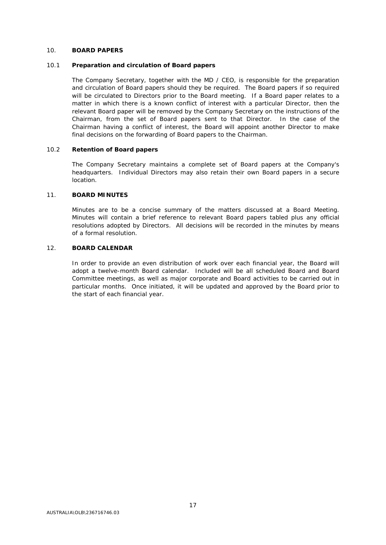#### <span id="page-16-0"></span>10. **BOARD PAPERS**

#### 10.1 **Preparation and circulation of Board papers**

The Company Secretary, together with the MD / CEO, is responsible for the preparation and circulation of Board papers should they be required. The Board papers if so required will be circulated to Directors prior to the Board meeting. If a Board paper relates to a matter in which there is a known conflict of interest with a particular Director, then the relevant Board paper will be removed by the Company Secretary on the instructions of the Chairman, from the set of Board papers sent to that Director. In the case of the Chairman having a conflict of interest, the Board will appoint another Director to make final decisions on the forwarding of Board papers to the Chairman.

#### 10.2 **Retention of Board papers**

The Company Secretary maintains a complete set of Board papers at the Company's headquarters. Individual Directors may also retain their own Board papers in a secure location.

#### <span id="page-16-1"></span>11. **BOARD MINUTES**

Minutes are to be a concise summary of the matters discussed at a Board Meeting. Minutes will contain a brief reference to relevant Board papers tabled plus any official resolutions adopted by Directors. All decisions will be recorded in the minutes by means of a formal resolution.

#### <span id="page-16-2"></span>12. **BOARD CALENDAR**

In order to provide an even distribution of work over each financial year, the Board will adopt a twelve-month Board calendar. Included will be all scheduled Board and Board Committee meetings, as well as major corporate and Board activities to be carried out in particular months. Once initiated, it will be updated and approved by the Board prior to the start of each financial year.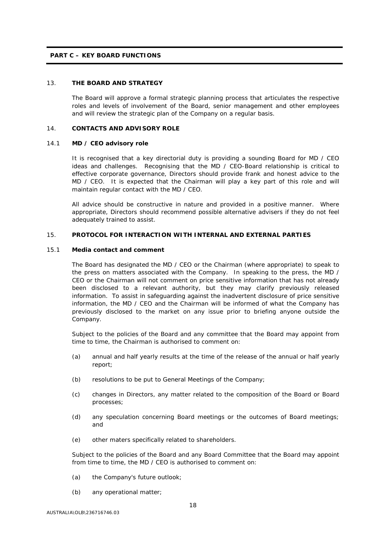#### **PART C – KEY BOARD FUNCTIONS**

# <span id="page-17-0"></span>13. **THE BOARD AND STRATEGY**

The Board will approve a formal strategic planning process that articulates the respective roles and levels of involvement of the Board, senior management and other employees and will review the strategic plan of the Company on a regular basis.

#### <span id="page-17-1"></span>14. **CONTACTS AND ADVISORY ROLE**

#### 14.1 **MD / CEO advisory role**

It is recognised that a key directorial duty is providing a sounding Board for MD / CEO ideas and challenges. Recognising that the MD / CEO-Board relationship is critical to effective corporate governance, Directors should provide frank and honest advice to the MD / CEO. It is expected that the Chairman will play a key part of this role and will maintain regular contact with the MD / CEO.

All advice should be constructive in nature and provided in a positive manner. Where appropriate, Directors should recommend possible alternative advisers if they do not feel adequately trained to assist.

#### <span id="page-17-2"></span>15. **PROTOCOL FOR INTERACTION WITH INTERNAL AND EXTERNAL PARTIES**

#### 15.1 **Media contact and comment**

The Board has designated the MD / CEO or the Chairman (where appropriate) to speak to the press on matters associated with the Company. In speaking to the press, the MD / CEO or the Chairman will not comment on price sensitive information that has not already been disclosed to a relevant authority, but they may clarify previously released information. To assist in safeguarding against the inadvertent disclosure of price sensitive information, the MD / CEO and the Chairman will be informed of what the Company has previously disclosed to the market on any issue prior to briefing anyone outside the Company.

Subject to the policies of the Board and any committee that the Board may appoint from time to time, the Chairman is authorised to comment on:

- (a) annual and half yearly results at the time of the release of the annual or half yearly report;
- (b) resolutions to be put to General Meetings of the Company;
- (c) changes in Directors, any matter related to the composition of the Board or Board processes;
- (d) any speculation concerning Board meetings or the outcomes of Board meetings; and
- (e) other maters specifically related to shareholders.

Subject to the policies of the Board and any Board Committee that the Board may appoint from time to time, the MD / CEO is authorised to comment on:

- (a) the Company's future outlook;
- (b) any operational matter;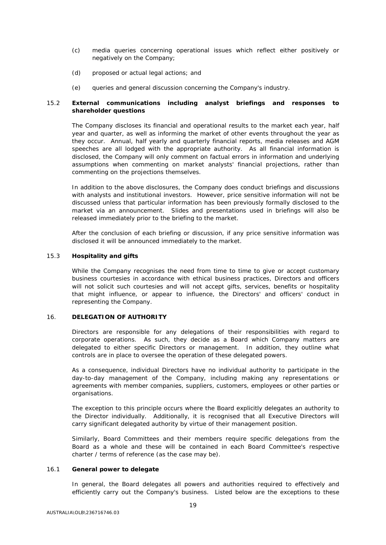- (c) media queries concerning operational issues which reflect either positively or negatively on the Company;
- (d) proposed or actual legal actions; and
- (e) queries and general discussion concerning the Company's industry.

# 15.2 **External communications including analyst briefings and responses to shareholder questions**

The Company discloses its financial and operational results to the market each year, half year and quarter, as well as informing the market of other events throughout the year as they occur. Annual, half yearly and quarterly financial reports, media releases and AGM speeches are all lodged with the appropriate authority. As all financial information is disclosed, the Company will only comment on factual errors in information and underlying assumptions when commenting on market analysts' financial projections, rather than commenting on the projections themselves.

In addition to the above disclosures, the Company does conduct briefings and discussions with analysts and institutional investors. However, price sensitive information will not be discussed unless that particular information has been previously formally disclosed to the market via an announcement. Slides and presentations used in briefings will also be released immediately prior to the briefing to the market.

After the conclusion of each briefing or discussion, if any price sensitive information was disclosed it will be announced immediately to the market.

#### 15.3 **Hospitality and gifts**

While the Company recognises the need from time to time to give or accept customary business courtesies in accordance with ethical business practices, Directors and officers will not solicit such courtesies and will not accept gifts, services, benefits or hospitality that might influence, or appear to influence, the Directors' and officers' conduct in representing the Company.

### <span id="page-18-0"></span>16. **DELEGATION OF AUTHORITY**

Directors are responsible for any delegations of their responsibilities with regard to corporate operations. As such, they decide as a Board which Company matters are delegated to either specific Directors or management. In addition, they outline what controls are in place to oversee the operation of these delegated powers.

As a consequence, individual Directors have no individual authority to participate in the day-to-day management of the Company, including making any representations or agreements with member companies, suppliers, customers, employees or other parties or organisations.

The exception to this principle occurs where the Board explicitly delegates an authority to the Director individually. Additionally, it is recognised that all Executive Directors will carry significant delegated authority by virtue of their management position.

Similarly, Board Committees and their members require specific delegations from the Board as a whole and these will be contained in each Board Committee's respective charter / terms of reference (as the case may be).

#### 16.1 **General power to delegate**

In general, the Board delegates all powers and authorities required to effectively and efficiently carry out the Company's business. Listed below are the exceptions to these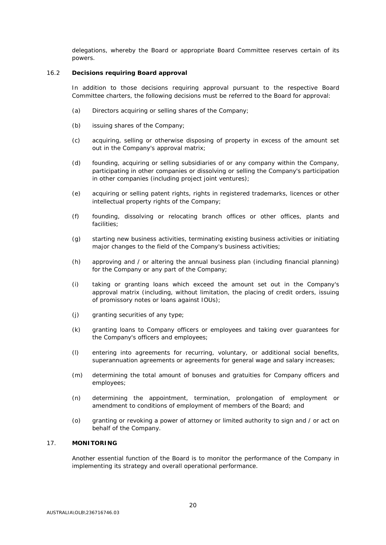delegations, whereby the Board or appropriate Board Committee reserves certain of its powers.

#### 16.2 **Decisions requiring Board approval**

In addition to those decisions requiring approval pursuant to the respective Board Committee charters, the following decisions must be referred to the Board for approval:

- (a) Directors acquiring or selling shares of the Company;
- (b) issuing shares of the Company;
- (c) acquiring, selling or otherwise disposing of property in excess of the amount set out in the Company's approval matrix;
- (d) founding, acquiring or selling subsidiaries of or any company within the Company, participating in other companies or dissolving or selling the Company's participation in other companies (including project joint ventures);
- (e) acquiring or selling patent rights, rights in registered trademarks, licences or other intellectual property rights of the Company;
- (f) founding, dissolving or relocating branch offices or other offices, plants and facilities;
- (g) starting new business activities, terminating existing business activities or initiating major changes to the field of the Company's business activities;
- (h) approving and / or altering the annual business plan (including financial planning) for the Company or any part of the Company;
- (i) taking or granting loans which exceed the amount set out in the Company's approval matrix (including, without limitation, the placing of credit orders, issuing of promissory notes or loans against IOUs);
- (j) granting securities of any type;
- (k) granting loans to Company officers or employees and taking over guarantees for the Company's officers and employees;
- (l) entering into agreements for recurring, voluntary, or additional social benefits, superannuation agreements or agreements for general wage and salary increases;
- (m) determining the total amount of bonuses and gratuities for Company officers and employees;
- (n) determining the appointment, termination, prolongation of employment or amendment to conditions of employment of members of the Board; and
- (o) granting or revoking a power of attorney or limited authority to sign and / or act on behalf of the Company.

#### <span id="page-19-0"></span>17. **MONITORING**

Another essential function of the Board is to monitor the performance of the Company in implementing its strategy and overall operational performance.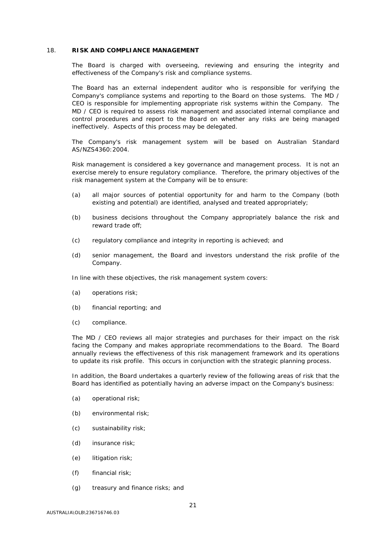#### <span id="page-20-0"></span>18. **RISK AND COMPLIANCE MANAGEMENT**

The Board is charged with overseeing, reviewing and ensuring the integrity and effectiveness of the Company's risk and compliance systems.

The Board has an external independent auditor who is responsible for verifying the Company's compliance systems and reporting to the Board on those systems. The MD / CEO is responsible for implementing appropriate risk systems within the Company. The MD / CEO is required to assess risk management and associated internal compliance and control procedures and report to the Board on whether any risks are being managed ineffectively. Aspects of this process may be delegated.

The Company's risk management system will be based on Australian Standard AS/NZS4360:2004.

Risk management is considered a key governance and management process. It is not an exercise merely to ensure regulatory compliance. Therefore, the primary objectives of the risk management system at the Company will be to ensure:

- (a) all major sources of potential opportunity for and harm to the Company (both existing and potential) are identified, analysed and treated appropriately;
- (b) business decisions throughout the Company appropriately balance the risk and reward trade off;
- (c) regulatory compliance and integrity in reporting is achieved; and
- (d) senior management, the Board and investors understand the risk profile of the Company.

In line with these objectives, the risk management system covers:

- (a) operations risk;
- (b) financial reporting; and
- (c) compliance.

The MD / CEO reviews all major strategies and purchases for their impact on the risk facing the Company and makes appropriate recommendations to the Board. The Board annually reviews the effectiveness of this risk management framework and its operations to update its risk profile. This occurs in conjunction with the strategic planning process.

In addition, the Board undertakes a quarterly review of the following areas of risk that the Board has identified as potentially having an adverse impact on the Company's business:

- (a) operational risk;
- (b) environmental risk;
- (c) sustainability risk;
- (d) insurance risk;
- (e) litigation risk;
- (f) financial risk;
- (g) treasury and finance risks; and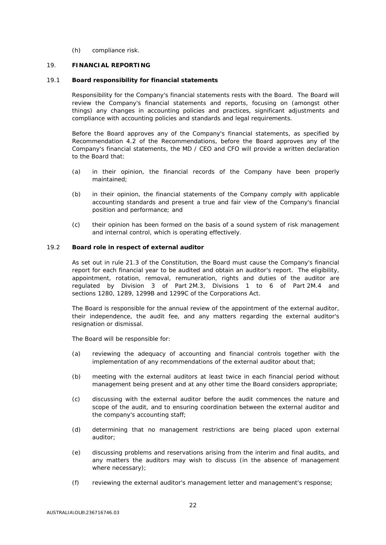(h) compliance risk.

#### <span id="page-21-0"></span>19. **FINANCIAL REPORTING**

#### <span id="page-21-1"></span>19.1 **Board responsibility for financial statements**

Responsibility for the Company's financial statements rests with the Board. The Board will review the Company's financial statements and reports, focusing on (amongst other things) any changes in accounting policies and practices, significant adjustments and compliance with accounting policies and standards and legal requirements.

Before the Board approves any of the Company's financial statements, as specified by Recommendation 4.2 of the Recommendations, before the Board approves any of the Company's financial statements, the MD / CEO and CFO will provide a written declaration to the Board that:

- (a) in their opinion, the financial records of the Company have been properly maintained;
- (b) in their opinion, the financial statements of the Company comply with applicable accounting standards and present a true and fair view of the Company's financial position and performance; and
- (c) their opinion has been formed on the basis of a sound system of risk management and internal control, which is operating effectively.

#### 19.2 **Board role in respect of external auditor**

As set out in rule 21.3 of the Constitution, the Board must cause the Company's financial report for each financial year to be audited and obtain an auditor's report. The eligibility, appointment, rotation, removal, remuneration, rights and duties of the auditor are regulated by Division 3 of Part 2M.3, Divisions 1 to 6 of Part 2M.4 and sections 1280, 1289, 1299B and 1299C of the Corporations Act.

The Board is responsible for the annual review of the appointment of the external auditor, their independence, the audit fee, and any matters regarding the external auditor's resignation or dismissal.

The Board will be responsible for:

- (a) reviewing the adequacy of accounting and financial controls together with the implementation of any recommendations of the external auditor about that;
- (b) meeting with the external auditors at least twice in each financial period without management being present and at any other time the Board considers appropriate;
- (c) discussing with the external auditor before the audit commences the nature and scope of the audit, and to ensuring coordination between the external auditor and the company's accounting staff;
- (d) determining that no management restrictions are being placed upon external auditor;
- (e) discussing problems and reservations arising from the interim and final audits, and any matters the auditors may wish to discuss (in the absence of management where necessary);
- (f) reviewing the external auditor's management letter and management's response;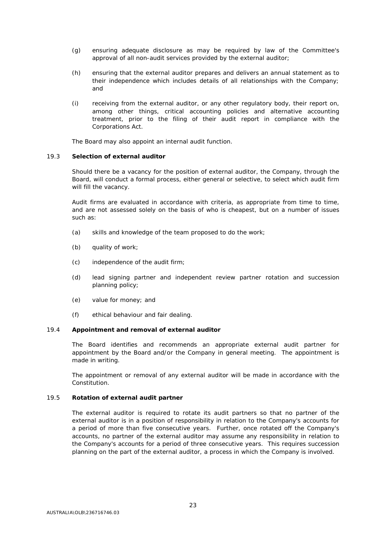- (g) ensuring adequate disclosure as may be required by law of the Committee's approval of all non-audit services provided by the external auditor;
- (h) ensuring that the external auditor prepares and delivers an annual statement as to their independence which includes details of all relationships with the Company; and
- (i) receiving from the external auditor, or any other regulatory body, their report on, among other things, critical accounting policies and alternative accounting treatment, prior to the filing of their audit report in compliance with the Corporations Act.

The Board may also appoint an internal audit function.

#### 19.3 **Selection of external auditor**

Should there be a vacancy for the position of external auditor, the Company, through the Board, will conduct a formal process, either general or selective, to select which audit firm will fill the vacancy.

Audit firms are evaluated in accordance with criteria, as appropriate from time to time, and are not assessed solely on the basis of who is cheapest, but on a number of issues such as:

- (a) skills and knowledge of the team proposed to do the work;
- (b) quality of work;
- (c) independence of the audit firm;
- (d) lead signing partner and independent review partner rotation and succession planning policy;
- (e) value for money; and
- (f) ethical behaviour and fair dealing.

# 19.4 **Appointment and removal of external auditor**

The Board identifies and recommends an appropriate external audit partner for appointment by the Board and/or the Company in general meeting. The appointment is made in writing.

The appointment or removal of any external auditor will be made in accordance with the Constitution.

#### 19.5 **Rotation of external audit partner**

The external auditor is required to rotate its audit partners so that no partner of the external auditor is in a position of responsibility in relation to the Company's accounts for a period of more than five consecutive years. Further, once rotated off the Company's accounts, no partner of the external auditor may assume any responsibility in relation to the Company's accounts for a period of three consecutive years. This requires succession planning on the part of the external auditor, a process in which the Company is involved.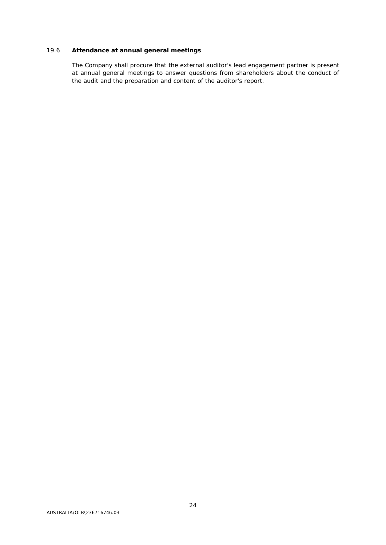# 19.6 **Attendance at annual general meetings**

The Company shall procure that the external auditor's lead engagement partner is present at annual general meetings to answer questions from shareholders about the conduct of the audit and the preparation and content of the auditor's report.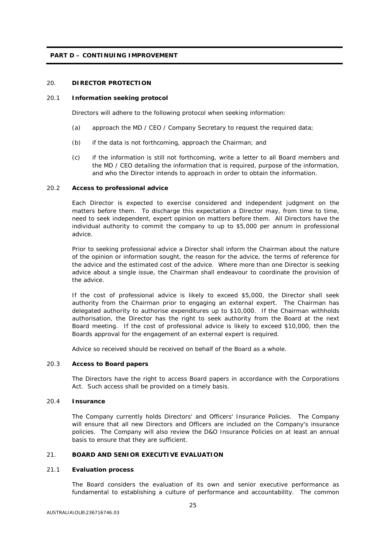#### **PART D – CONTINUING IMPROVEMENT**

# <span id="page-24-0"></span>20. **DIRECTOR PROTECTION**

#### 20.1 **Information seeking protocol**

Directors will adhere to the following protocol when seeking information:

- (a) approach the MD / CEO / Company Secretary to request the required data;
- (b) if the data is not forthcoming, approach the Chairman; and
- (c) if the information is still not forthcoming, write a letter to all Board members and the MD / CEO detailing the information that is required, purpose of the information, and who the Director intends to approach in order to obtain the information.

#### 20.2 **Access to professional advice**

Each Director is expected to exercise considered and independent judgment on the matters before them. To discharge this expectation a Director may, from time to time, need to seek independent, expert opinion on matters before them. All Directors have the individual authority to commit the company to up to \$5,000 per annum in professional advice.

Prior to seeking professional advice a Director shall inform the Chairman about the nature of the opinion or information sought, the reason for the advice, the terms of reference for the advice and the estimated cost of the advice. Where more than one Director is seeking advice about a single issue, the Chairman shall endeavour to coordinate the provision of the advice.

If the cost of professional advice is likely to exceed \$5,000, the Director shall seek authority from the Chairman prior to engaging an external expert. The Chairman has delegated authority to authorise expenditures up to \$10,000. If the Chairman withholds authorisation, the Director has the right to seek authority from the Board at the next Board meeting. If the cost of professional advice is likely to exceed \$10,000, then the Boards approval for the engagement of an external expert is required.

Advice so received should be received on behalf of the Board as a whole.

#### 20.3 **Access to Board papers**

The Directors have the right to access Board papers in accordance with the Corporations Act. Such access shall be provided on a timely basis.

#### 20.4 **Insurance**

The Company currently holds Directors' and Officers' Insurance Policies. The Company will ensure that all new Directors and Officers are included on the Company's insurance policies. The Company will also review the D&O Insurance Policies on at least an annual basis to ensure that they are sufficient.

#### <span id="page-24-1"></span>21. **BOARD AND SENIOR EXECUTIVE EVALUATION**

#### 21.1 **Evaluation process**

The Board considers the evaluation of its own and senior executive performance as fundamental to establishing a culture of performance and accountability. The common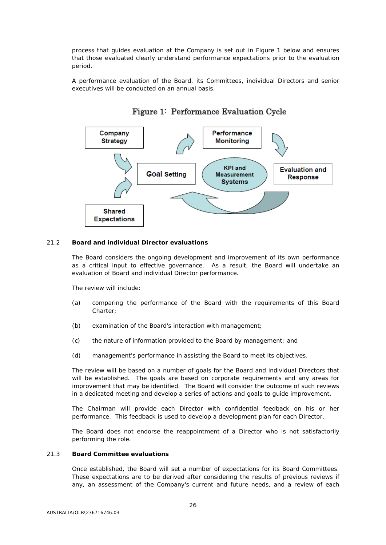process that guides evaluation at the Company is set out in Figure 1 below and ensures that those evaluated clearly understand performance expectations prior to the evaluation period.

A performance evaluation of the Board, its Committees, individual Directors and senior executives will be conducted on an annual basis.



# Figure 1: Performance Evaluation Cycle

#### 21.2 **Board and individual Director evaluations**

The Board considers the ongoing development and improvement of its own performance as a critical input to effective governance. As a result, the Board will undertake an evaluation of Board and individual Director performance.

The review will include:

- (a) comparing the performance of the Board with the requirements of this Board Charter;
- (b) examination of the Board's interaction with management;
- (c) the nature of information provided to the Board by management; and
- (d) management's performance in assisting the Board to meet its objectives.

The review will be based on a number of goals for the Board and individual Directors that will be established. The goals are based on corporate requirements and any areas for improvement that may be identified. The Board will consider the outcome of such reviews in a dedicated meeting and develop a series of actions and goals to guide improvement.

The Chairman will provide each Director with confidential feedback on his or her performance. This feedback is used to develop a development plan for each Director.

The Board does not endorse the reappointment of a Director who is not satisfactorily performing the role.

#### 21.3 **Board Committee evaluations**

Once established, the Board will set a number of expectations for its Board Committees. These expectations are to be derived after considering the results of previous reviews if any, an assessment of the Company's current and future needs, and a review of each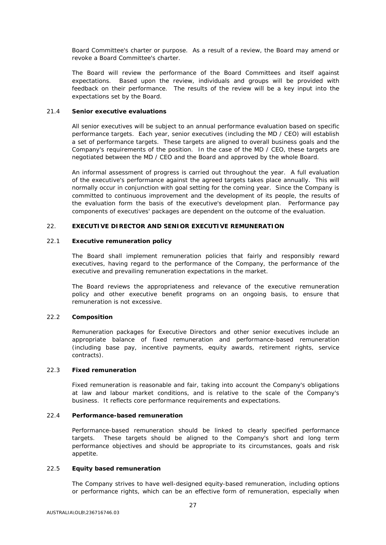Board Committee's charter or purpose. As a result of a review, the Board may amend or revoke a Board Committee's charter.

The Board will review the performance of the Board Committees and itself against expectations. Based upon the review, individuals and groups will be provided with feedback on their performance. The results of the review will be a key input into the expectations set by the Board.

#### 21.4 **Senior executive evaluations**

All senior executives will be subject to an annual performance evaluation based on specific performance targets. Each year, senior executives (including the MD / CEO) will establish a set of performance targets. These targets are aligned to overall business goals and the Company's requirements of the position. In the case of the MD / CEO, these targets are negotiated between the MD / CEO and the Board and approved by the whole Board.

An informal assessment of progress is carried out throughout the year. A full evaluation of the executive's performance against the agreed targets takes place annually. This will normally occur in conjunction with goal setting for the coming year. Since the Company is committed to continuous improvement and the development of its people, the results of the evaluation form the basis of the executive's development plan. Performance pay components of executives' packages are dependent on the outcome of the evaluation.

# <span id="page-26-0"></span>22. **EXECUTIVE DIRECTOR AND SENIOR EXECUTIVE REMUNERATION**

#### 22.1 **Executive remuneration policy**

The Board shall implement remuneration policies that fairly and responsibly reward executives, having regard to the performance of the Company, the performance of the executive and prevailing remuneration expectations in the market.

The Board reviews the appropriateness and relevance of the executive remuneration policy and other executive benefit programs on an ongoing basis, to ensure that remuneration is not excessive.

### 22.2 **Composition**

Remuneration packages for Executive Directors and other senior executives include an appropriate balance of fixed remuneration and performance-based remuneration (including base pay, incentive payments, equity awards, retirement rights, service contracts).

#### 22.3 **Fixed remuneration**

Fixed remuneration is reasonable and fair, taking into account the Company's obligations at law and labour market conditions, and is relative to the scale of the Company's business. It reflects core performance requirements and expectations.

#### 22.4 **Performance-based remuneration**

Performance-based remuneration should be linked to clearly specified performance targets. These targets should be aligned to the Company's short and long term performance objectives and should be appropriate to its circumstances, goals and risk appetite.

#### 22.5 **Equity based remuneration**

The Company strives to have well-designed equity-based remuneration, including options or performance rights, which can be an effective form of remuneration, especially when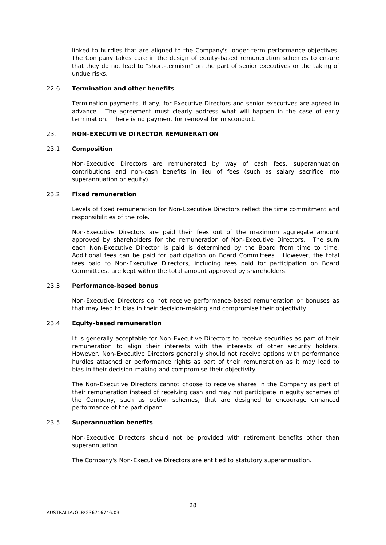linked to hurdles that are aligned to the Company's longer-term performance objectives. The Company takes care in the design of equity-based remuneration schemes to ensure that they do not lead to "short-termism" on the part of senior executives or the taking of undue risks.

#### 22.6 **Termination and other benefits**

Termination payments, if any, for Executive Directors and senior executives are agreed in advance. The agreement must clearly address what will happen in the case of early termination. There is no payment for removal for misconduct.

#### <span id="page-27-0"></span>23. **NON-EXECUTIVE DIRECTOR REMUNERATION**

#### 23.1 **Composition**

Non-Executive Directors are remunerated by way of cash fees, superannuation contributions and non-cash benefits in lieu of fees (such as salary sacrifice into superannuation or equity).

#### 23.2 **Fixed remuneration**

Levels of fixed remuneration for Non-Executive Directors reflect the time commitment and responsibilities of the role.

Non-Executive Directors are paid their fees out of the maximum aggregate amount approved by shareholders for the remuneration of Non-Executive Directors. The sum each Non-Executive Director is paid is determined by the Board from time to time. Additional fees can be paid for participation on Board Committees. However, the total fees paid to Non-Executive Directors, including fees paid for participation on Board Committees, are kept within the total amount approved by shareholders.

#### 23.3 **Performance-based bonus**

Non-Executive Directors do not receive performance-based remuneration or bonuses as that may lead to bias in their decision-making and compromise their objectivity.

#### 23.4 **Equity-based remuneration**

It is generally acceptable for Non-Executive Directors to receive securities as part of their remuneration to align their interests with the interests of other security holders. However, Non-Executive Directors generally should not receive options with performance hurdles attached or performance rights as part of their remuneration as it may lead to bias in their decision-making and compromise their objectivity.

The Non-Executive Directors cannot choose to receive shares in the Company as part of their remuneration instead of receiving cash and may not participate in equity schemes of the Company, such as option schemes, that are designed to encourage enhanced performance of the participant.

#### 23.5 **Superannuation benefits**

Non-Executive Directors should not be provided with retirement benefits other than superannuation.

The Company's Non-Executive Directors are entitled to statutory superannuation.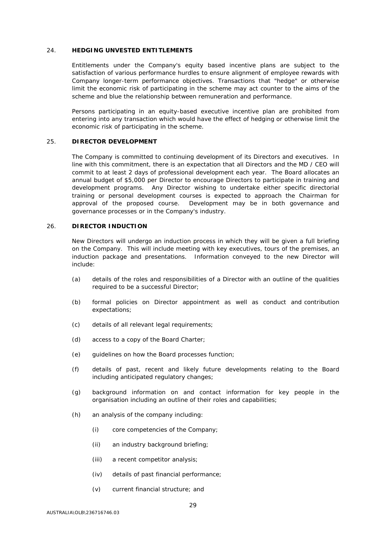#### <span id="page-28-0"></span>24. **HEDGING UNVESTED ENTITLEMENTS**

Entitlements under the Company's equity based incentive plans are subject to the satisfaction of various performance hurdles to ensure alignment of employee rewards with Company longer-term performance objectives. Transactions that "hedge" or otherwise limit the economic risk of participating in the scheme may act counter to the aims of the scheme and blue the relationship between remuneration and performance.

Persons participating in an equity-based executive incentive plan are prohibited from entering into any transaction which would have the effect of hedging or otherwise limit the economic risk of participating in the scheme.

#### <span id="page-28-1"></span>25. **DIRECTOR DEVELOPMENT**

The Company is committed to continuing development of its Directors and executives. In line with this commitment, there is an expectation that all Directors and the MD / CEO will commit to at least 2 days of professional development each year. The Board allocates an annual budget of \$5,000 per Director to encourage Directors to participate in training and development programs. Any Director wishing to undertake either specific directorial training or personal development courses is expected to approach the Chairman for approval of the proposed course. Development may be in both governance and governance processes or in the Company's industry.

# <span id="page-28-2"></span>26. **DIRECTOR INDUCTION**

New Directors will undergo an induction process in which they will be given a full briefing on the Company. This will include meeting with key executives, tours of the premises, an induction package and presentations. Information conveyed to the new Director will include:

- (a) details of the roles and responsibilities of a Director with an outline of the qualities required to be a successful Director;
- (b) formal policies on Director appointment as well as conduct and contribution expectations;
- (c) details of all relevant legal requirements;
- (d) access to a copy of the Board Charter;
- (e) guidelines on how the Board processes function;
- (f) details of past, recent and likely future developments relating to the Board including anticipated regulatory changes;
- (g) background information on and contact information for key people in the organisation including an outline of their roles and capabilities;
- (h) an analysis of the company including:
	- (i) core competencies of the Company;
	- (ii) an industry background briefing;
	- (iii) a recent competitor analysis;
	- (iv) details of past financial performance;
	- (v) current financial structure; and